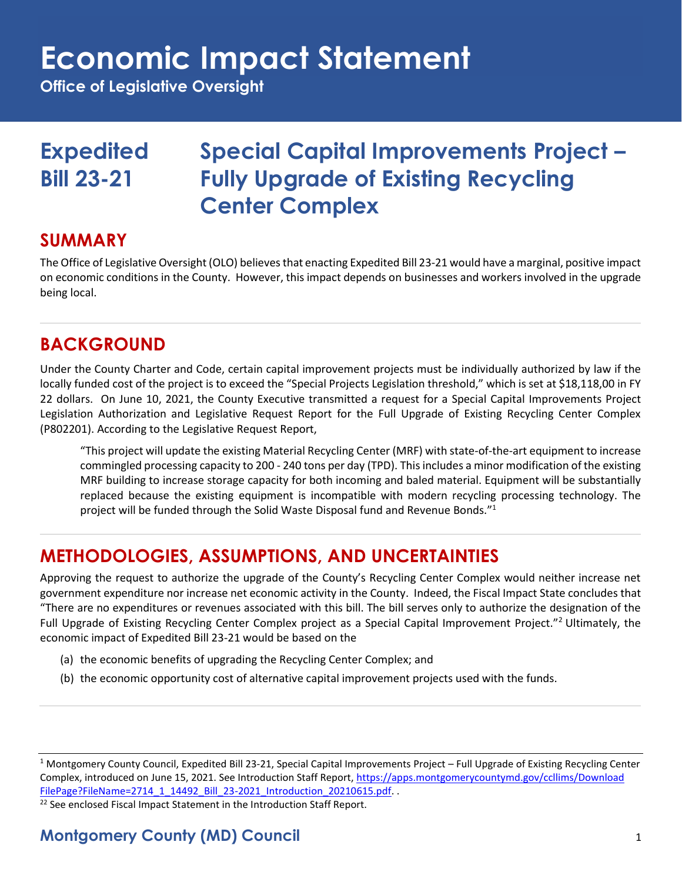## **Economic Impact Statement**

**Office of Legislative Oversight**

### **Expedited Special Capital Improvements Project – Bill 23-21 Fully Upgrade of Existing Recycling Center Complex**

#### **SUMMARY**

The Office of Legislative Oversight (OLO) believes that enacting Expedited Bill 23-21 would have a marginal, positive impact on economic conditions in the County. However, this impact depends on businesses and workers involved in the upgrade being local.

#### **BACKGROUND**

Under the County Charter and Code, certain capital improvement projects must be individually authorized by law if the locally funded cost of the project is to exceed the "Special Projects Legislation threshold," which is set at \$18,118,00 in FY 22 dollars. On June 10, 2021, the County Executive transmitted a request for a Special Capital Improvements Project Legislation Authorization and Legislative Request Report for the Full Upgrade of Existing Recycling Center Complex (P802201). According to the Legislative Request Report,

"This project will update the existing Material Recycling Center (MRF) with state-of-the-art equipment to increase commingled processing capacity to 200 - 240 tons per day (TPD). This includes a minor modification of the existing MRF building to increase storage capacity for both incoming and baled material. Equipment will be substantially replaced because the existing equipment is incompatible with modern recycling processing technology. The project will be funded through the Solid Waste Disposal fund and Revenue Bonds." 1

### **METHODOLOGIES, ASSUMPTIONS, AND UNCERTAINTIES**

Approving the request to authorize the upgrade of the County's Recycling Center Complex would neither increase net government expenditure nor increase net economic activity in the County. Indeed, the Fiscal Impact State concludes that "There are no expenditures or revenues associated with this bill. The bill serves only to authorize the designation of the Full Upgrade of Existing Recycling Center Complex project as a Special Capital Improvement Project."<sup>2</sup> Ultimately, the economic impact of Expedited Bill 23-21 would be based on the

- (a) the economic benefits of upgrading the Recycling Center Complex; and
- (b) the economic opportunity cost of alternative capital improvement projects used with the funds.

 $22$  See enclosed Fiscal Impact Statement in the Introduction Staff Report.

#### **Montgomery County (MD) Council** 1

<sup>&</sup>lt;sup>1</sup> Montgomery County Council, Expedited Bill 23-21, Special Capital Improvements Project – Full Upgrade of Existing Recycling Center Complex, introduced on June 15, 2021. See Introduction Staff Report, [https://apps.montgomerycountymd.gov/ccllims/Download](https://apps.montgomerycountymd.gov/ccllims/DownloadFilePage?FileName=2714_1_14492_Bill_23-2021_Introduction_20210615.pdf) [FilePage?FileName=2714\\_1\\_14492\\_Bill\\_23-2021\\_Introduction\\_20210615.pdf.](https://apps.montgomerycountymd.gov/ccllims/DownloadFilePage?FileName=2714_1_14492_Bill_23-2021_Introduction_20210615.pdf) .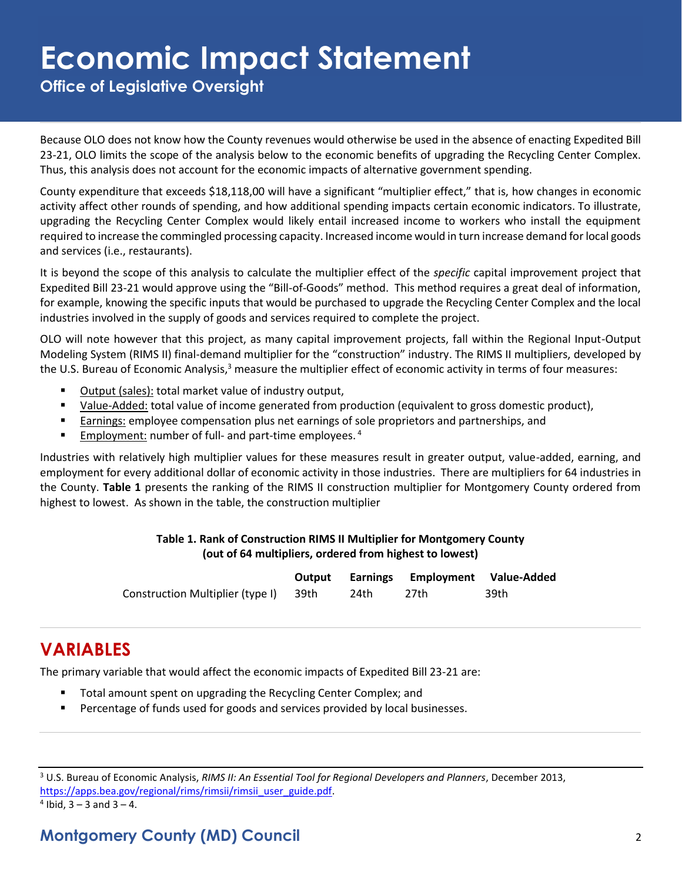## **Economic Impact Statement**

**Office of Legislative Oversight**

Because OLO does not know how the County revenues would otherwise be used in the absence of enacting Expedited Bill 23-21, OLO limits the scope of the analysis below to the economic benefits of upgrading the Recycling Center Complex. Thus, this analysis does not account for the economic impacts of alternative government spending.

County expenditure that exceeds \$18,118,00 will have a significant "multiplier effect," that is, how changes in economic activity affect other rounds of spending, and how additional spending impacts certain economic indicators. To illustrate, upgrading the Recycling Center Complex would likely entail increased income to workers who install the equipment required to increase the commingled processing capacity. Increased income would in turn increase demand for local goods and services (i.e., restaurants).

It is beyond the scope of this analysis to calculate the multiplier effect of the *specific* capital improvement project that Expedited Bill 23-21 would approve using the "Bill-of-Goods" method. This method requires a great deal of information, for example, knowing the specific inputs that would be purchased to upgrade the Recycling Center Complex and the local industries involved in the supply of goods and services required to complete the project.

OLO will note however that this project, as many capital improvement projects, fall within the Regional Input-Output Modeling System (RIMS II) final-demand multiplier for the "construction" industry. The RIMS II multipliers, developed by the U.S. Bureau of Economic Analysis,<sup>3</sup> measure the multiplier effect of economic activity in terms of four measures:

- Output (sales): total market value of industry output,
- Value-Added: total value of income generated from production (equivalent to gross domestic product),
- **Earnings:** employee compensation plus net earnings of sole proprietors and partnerships, and
- **Employment:** number of full- and part-time employees.<sup>4</sup>

Industries with relatively high multiplier values for these measures result in greater output, value-added, earning, and employment for every additional dollar of economic activity in those industries. There are multipliers for 64 industries in the County. **Table 1** presents the ranking of the RIMS II construction multiplier for Montgomery County ordered from highest to lowest. As shown in the table, the construction multiplier

#### **Table 1. Rank of Construction RIMS II Multiplier for Montgomery County (out of 64 multipliers, ordered from highest to lowest)**

|                                       |      | Output Earnings Employment Value-Added |      |
|---------------------------------------|------|----------------------------------------|------|
| Construction Multiplier (type I) 39th | 24th | 27th                                   | 39th |

#### **VARIABLES**

The primary variable that would affect the economic impacts of Expedited Bill 23-21 are:

- Total amount spent on upgrading the Recycling Center Complex; and
- Percentage of funds used for goods and services provided by local businesses.

 $4$  Ibid,  $3 - 3$  and  $3 - 4$ .

#### **Montgomery County (MD) Council** 2

<sup>3</sup> U.S. Bureau of Economic Analysis, *RIMS II: An Essential Tool for Regional Developers and Planners*, December 2013, [https://apps.bea.gov/regional/rims/rimsii/rimsii\\_user\\_guide.pdf.](https://apps.bea.gov/regional/rims/rimsii/rimsii_user_guide.pdf)